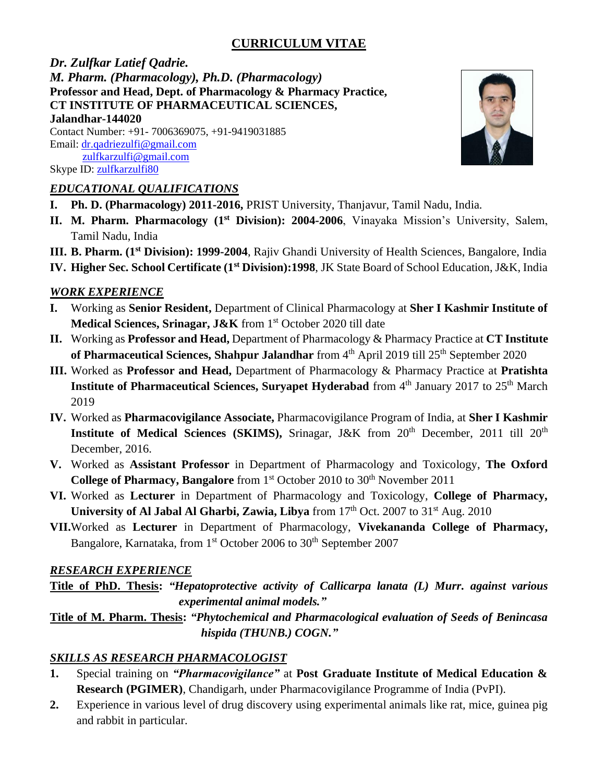# **CURRICULUM VITAE**

*Dr. Zulfkar Latief Qadrie. M. Pharm. (Pharmacology), Ph.D. (Pharmacology)* **Professor and Head, Dept. of Pharmacology & Pharmacy Practice, CT INSTITUTE OF PHARMACEUTICAL SCIENCES, Jalandhar-144020**

Contact Number: +91- 7006369075, +91-9419031885 Email: dr.qadriezulfi@gmail.com zulfkarzulfi@gmail.com Skype ID: zulfkarzulfi80

#### *EDUCATIONAL QUALIFICATIONS*

- **I. Ph. D. (Pharmacology) 2011-2016,** PRIST University, Thanjavur, Tamil Nadu, India.
- **II. M. Pharm. Pharmacology (1st Division): 2004-2006**, Vinayaka Mission's University, Salem, Tamil Nadu, India
- **III. B. Pharm. (1st Division): 1999-2004**, Rajiv Ghandi University of Health Sciences, Bangalore, India
- **IV. Higher Sec. School Certificate (1st Division):1998**, JK State Board of School Education, J&K, India

#### *WORK EXPERIENCE*

- **I.** Working as **Senior Resident,** Department of Clinical Pharmacology at **Sher I Kashmir Institute of**  Medical Sciences, Srinagar, J&K from 1<sup>st</sup> October 2020 till date
- **II.** Working as **Professor and Head,** Department of Pharmacology & Pharmacy Practice at **CT Institute of Pharmaceutical Sciences, Shahpur Jalandhar** from 4<sup>th</sup> April 2019 till 25<sup>th</sup> September 2020
- **III.** Worked as **Professor and Head,** Department of Pharmacology & Pharmacy Practice at **Pratishta Institute of Pharmaceutical Sciences, Survapet Hyderabad** from 4<sup>th</sup> January 2017 to 25<sup>th</sup> March 2019
- **IV.** Worked as **Pharmacovigilance Associate,** Pharmacovigilance Program of India, at **Sher I Kashmir Institute of Medical Sciences (SKIMS),** Srinagar, J&K from 20<sup>th</sup> December, 2011 till 20<sup>th</sup> December, 2016.
- **V.** Worked as **Assistant Professor** in Department of Pharmacology and Toxicology, **The Oxford College of Pharmacy, Bangalore** from 1<sup>st</sup> October 2010 to 30<sup>th</sup> November 2011
- **VI.** Worked as **Lecturer** in Department of Pharmacology and Toxicology, **College of Pharmacy, University of Al Jabal Al Gharbi, Zawia, Libya** from 17<sup>th</sup> Oct. 2007 to 31<sup>st</sup> Aug. 2010
- **VII.**Worked as **Lecturer** in Department of Pharmacology, **Vivekananda College of Pharmacy,**  Bangalore, Karnataka, from 1<sup>st</sup> October 2006 to 30<sup>th</sup> September 2007

#### *RESEARCH EXPERIENCE*

**Title of PhD. Thesis:** *"Hepatoprotective activity of Callicarpa lanata (L) Murr. against various experimental animal models."*

**Title of M. Pharm. Thesis:** *"Phytochemical and Pharmacological evaluation of Seeds of Benincasa hispida (THUNB.) COGN."*

### *SKILLS AS RESEARCH PHARMACOLOGIST*

- **1.** Special training on *"Pharmacovigilance"* at **Post Graduate Institute of Medical Education & Research (PGIMER)**, Chandigarh, under Pharmacovigilance Programme of India (PvPI).
- **2.** Experience in various level of drug discovery using experimental animals like rat, mice, guinea pig and rabbit in particular.

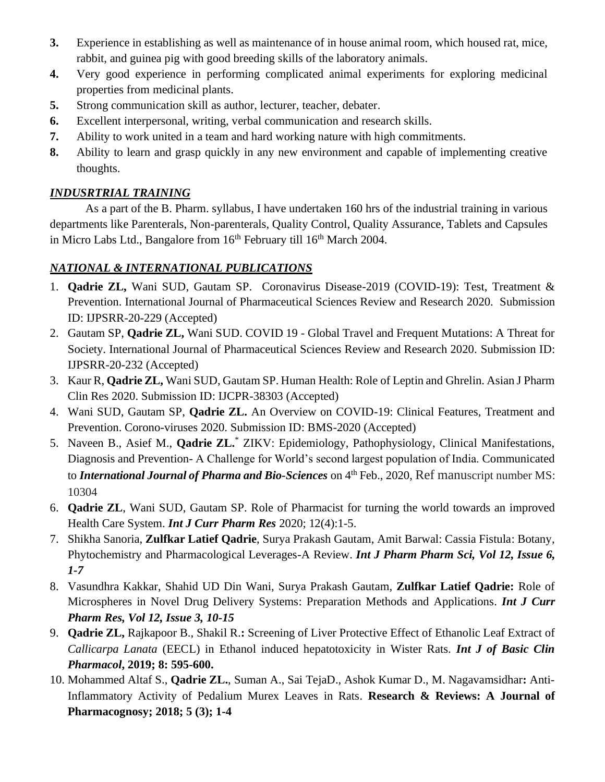- **3.** Experience in establishing as well as maintenance of in house animal room, which housed rat, mice, rabbit, and guinea pig with good breeding skills of the laboratory animals.
- **4.** Very good experience in performing complicated animal experiments for exploring medicinal properties from medicinal plants.
- **5.** Strong communication skill as author, lecturer, teacher, debater.
- **6.** Excellent interpersonal, writing, verbal communication and research skills.
- **7.** Ability to work united in a team and hard working nature with high commitments.
- **8.** Ability to learn and grasp quickly in any new environment and capable of implementing creative thoughts.

### *INDUSRTRIAL TRAINING*

As a part of the B. Pharm. syllabus, I have undertaken 160 hrs of the industrial training in various departments like Parenterals, Non-parenterals, Quality Control, Quality Assurance, Tablets and Capsules in Micro Labs Ltd., Bangalore from  $16<sup>th</sup>$  February till  $16<sup>th</sup>$  March 2004.

### *NATIONAL & INTERNATIONAL PUBLICATIONS*

- 1. **Qadrie ZL,** Wani SUD, Gautam SP. Coronavirus Disease-2019 (COVID-19): Test, Treatment & Prevention. International Journal of Pharmaceutical Sciences Review and Research 2020. Submission ID: IJPSRR-20-229 (Accepted)
- 2. Gautam SP, **Qadrie ZL,** Wani SUD. COVID 19 Global Travel and Frequent Mutations: A Threat for Society. International Journal of Pharmaceutical Sciences Review and Research 2020. Submission ID: IJPSRR-20-232 (Accepted)
- 3. Kaur R, **Qadrie ZL,** Wani SUD, Gautam SP. Human Health: Role of Leptin and Ghrelin. Asian J Pharm Clin Res 2020. Submission ID: IJCPR-38303 (Accepted)
- 4. Wani SUD, Gautam SP, **Qadrie ZL.** An Overview on COVID-19: Clinical Features, Treatment and Prevention. Corono-viruses 2020. Submission ID: BMS-2020 (Accepted)
- 5. Naveen B., Asief M., **Qadrie ZL.**\* ZIKV: Epidemiology, Pathophysiology, Clinical Manifestations, Diagnosis and Prevention- A Challenge for World's second largest population of India. Communicated to *International Journal of Pharma and Bio-Sciences* on 4<sup>th</sup> Feb., 2020, Ref manuscript number MS: 10304
- 6. **Qadrie ZL**, Wani SUD, Gautam SP. Role of Pharmacist for turning the world towards an improved Health Care System. *Int J Curr Pharm Res* 2020; 12(4):1-5.
- 7. Shikha Sanoria, **Zulfkar Latief Qadrie**, Surya Prakash Gautam, Amit Barwal: Cassia Fistula: Botany, Phytochemistry and Pharmacological Leverages-A Review. *Int J Pharm Pharm Sci, Vol 12, Issue 6, 1-7*
- 8. Vasundhra Kakkar, Shahid UD Din Wani, Surya Prakash Gautam, **Zulfkar Latief Qadrie:** Role of Microspheres in Novel Drug Delivery Systems: Preparation Methods and Applications. *Int J Curr Pharm Res, Vol 12, Issue 3, 10-15*
- 9. **Qadrie ZL,** Rajkapoor B., Shakil R.**:** Screening of Liver Protective Effect of Ethanolic Leaf Extract of *Callicarpa Lanata* (EECL) in Ethanol induced hepatotoxicity in Wister Rats. *Int J of Basic Clin Pharmacol***, 2019; 8: 595-600.**
- 10. Mohammed Altaf S., **Qadrie ZL.**, Suman A., Sai TejaD., Ashok Kumar D., M. Nagavamsidhar**:** Anti-Inflammatory Activity of Pedalium Murex Leaves in Rats. **Research & Reviews: A Journal of Pharmacognosy; 2018; 5 (3); 1-4**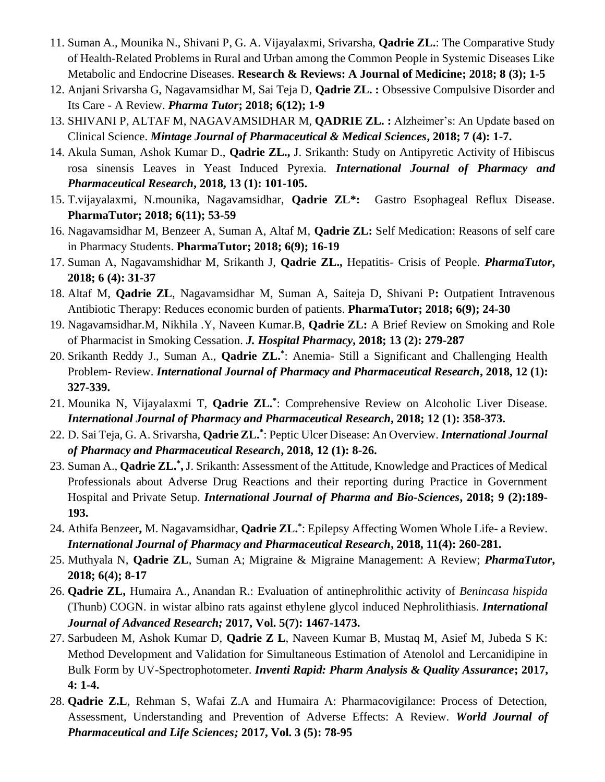- 11. Suman A., Mounika N., Shivani P, G. A. Vijayalaxmi, Srivarsha, **Qadrie ZL.**: The Comparative Study of Health-Related Problems in Rural and Urban among the Common People in Systemic Diseases Like Metabolic and Endocrine Diseases. **Research & Reviews: A Journal of Medicine; 2018; 8 (3); 1-5**
- 12. Anjani Srivarsha G, Nagavamsidhar M, Sai Teja D, **Qadrie ZL. :** Obsessive Compulsive Disorder and Its Care - A Review. *Pharma Tutor***; 2018; 6(12); 1-9**
- 13. SHIVANI P, ALTAF M, NAGAVAMSIDHAR M, **QADRIE ZL. :** Alzheimer's: An Update based on Clinical Science. *Mintage Journal of Pharmaceutical & Medical Sciences***, 2018; 7 (4): 1-7.**
- 14. Akula Suman, Ashok Kumar D., **Qadrie ZL.,** J. Srikanth: Study on Antipyretic Activity of Hibiscus rosa sinensis Leaves in Yeast Induced Pyrexia. *International Journal of Pharmacy and Pharmaceutical Research***, 2018, 13 (1): 101-105.**
- 15. T.vijayalaxmi, N.mounika, Nagavamsidhar, **Qadrie ZL\*:** Gastro Esophageal Reflux Disease. **PharmaTutor; 2018; 6(11); 53-59**
- 16. Nagavamsidhar M, Benzeer A, Suman A, Altaf M, **Qadrie ZL:** Self Medication: Reasons of self care in Pharmacy Students. **PharmaTutor; 2018; 6(9); 16-19**
- 17. Suman A, Nagavamshidhar M, Srikanth J, **Qadrie ZL.,** Hepatitis- Crisis of People. *PharmaTutor***, 2018; 6 (4): 31-37**
- 18. Altaf M, **Qadrie ZL**, Nagavamsidhar M, Suman A, Saiteja D, Shivani P**:** Outpatient Intravenous Antibiotic Therapy: Reduces economic burden of patients. **PharmaTutor; 2018; 6(9); 24-30**
- 19. Nagavamsidhar.M, Nikhila .Y, Naveen Kumar.B, **Qadrie ZL:** A Brief Review on Smoking and Role of Pharmacist in Smoking Cessation. *J. Hospital Pharmacy***, 2018; 13 (2): 279-287**
- 20. Srikanth Reddy J., Suman A., **Qadrie ZL.\*** : Anemia- Still a Significant and Challenging Health Problem- Review. *International Journal of Pharmacy and Pharmaceutical Research***, 2018, 12 (1): 327-339.**
- 21. Mounika N, Vijayalaxmi T, **Qadrie ZL.\*** : Comprehensive Review on Alcoholic Liver Disease. *International Journal of Pharmacy and Pharmaceutical Research***, 2018; 12 (1): 358-373.**
- 22. D. Sai Teja, G. A. Srivarsha, **Qadrie ZL.\*** : Peptic Ulcer Disease: An Overview. *International Journal of Pharmacy and Pharmaceutical Research***, 2018, 12 (1): 8-26.**
- 23. Suman A., **Qadrie ZL.\* ,** J. Srikanth: Assessment of the Attitude, Knowledge and Practices of Medical Professionals about Adverse Drug Reactions and their reporting during Practice in Government Hospital and Private Setup. *International Journal of Pharma and Bio-Sciences***, 2018; 9 (2):189- 193.**
- 24. Athifa Benzeer**,** M. Nagavamsidhar, **Qadrie ZL.\*** : Epilepsy Affecting Women Whole Life- a Review. *International Journal of Pharmacy and Pharmaceutical Research***, 2018, 11(4): 260-281.**
- 25. Muthyala N, **Qadrie ZL**, Suman A; Migraine & Migraine Management: A Review; *PharmaTutor***, 2018; 6(4); 8-17**
- 26. **Qadrie ZL,** Humaira A., Anandan R.: Evaluation of antinephrolithic activity of *Benincasa hispida* (Thunb) COGN. in wistar albino rats against ethylene glycol induced Nephrolithiasis. *International Journal of Advanced Research;* **2017, Vol. 5(7): 1467-1473.**
- 27. Sarbudeen M, Ashok Kumar D, **Qadrie Z L**, Naveen Kumar B, Mustaq M, Asief M, Jubeda S K: Method Development and Validation for Simultaneous Estimation of Atenolol and Lercanidipine in Bulk Form by UV-Spectrophotometer. *Inventi Rapid: Pharm Analysis & Quality Assurance***; 2017, 4: 1-4.**
- 28. **Qadrie Z.L**, Rehman S, Wafai Z.A and Humaira A: Pharmacovigilance: Process of Detection, Assessment, Understanding and Prevention of Adverse Effects: A Review. *World Journal of Pharmaceutical and Life Sciences;* **2017, Vol. 3 (5): 78-95**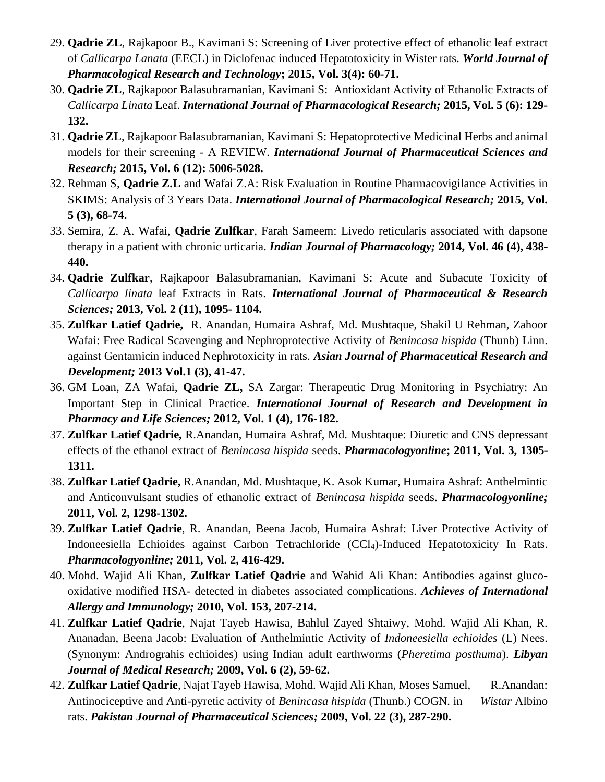- 29. **Qadrie ZL**, Rajkapoor B., Kavimani S: Screening of Liver protective effect of ethanolic leaf extract of *Callicarpa Lanata* (EECL) in Diclofenac induced Hepatotoxicity in Wister rats. *World Journal of Pharmacological Research and Technology***; 2015, Vol. 3(4): 60-71.**
- 30. **Qadrie ZL**, Rajkapoor Balasubramanian, Kavimani S: Antioxidant Activity of Ethanolic Extracts of *Callicarpa Linata* Leaf. *International Journal of Pharmacological Research;* **2015, Vol. 5 (6): 129- 132.**
- 31. **Qadrie ZL**, Rajkapoor Balasubramanian, Kavimani S: Hepatoprotective Medicinal Herbs and animal models for their screening - A REVIEW. *International Journal of Pharmaceutical Sciences and Research;* **2015, Vol. 6 (12): 5006-5028.**
- 32. Rehman S, **Qadrie Z.L** and Wafai Z.A: Risk Evaluation in Routine Pharmacovigilance Activities in SKIMS: Analysis of 3 Years Data. *International Journal of Pharmacological Research;* **2015, Vol. 5 (3), 68-74.**
- 33. Semira, Z. A. Wafai, **Qadrie Zulfkar**, Farah Sameem: Livedo reticularis associated with dapsone therapy in a patient with chronic urticaria. *Indian Journal of Pharmacology;* **2014, Vol. 46 (4), 438- 440.**
- 34. **Qadrie Zulfkar**, Rajkapoor Balasubramanian, Kavimani S: Acute and Subacute Toxicity of *Callicarpa linata* leaf Extracts in Rats. *International Journal of Pharmaceutical & Research Sciences;* **2013, Vol. 2 (11), 1095- 1104.**
- 35. **Zulfkar Latief Qadrie,** R. Anandan, Humaira Ashraf, Md. Mushtaque, Shakil U Rehman, Zahoor Wafai: Free Radical Scavenging and Nephroprotective Activity of *Benincasa hispida* (Thunb) Linn. against Gentamicin induced Nephrotoxicity in rats. *Asian Journal of Pharmaceutical Research and Development;* **2013 Vol.1 (3), 41-47.**
- 36. GM Loan, ZA Wafai, **Qadrie ZL,** SA Zargar: Therapeutic Drug Monitoring in Psychiatry: An Important Step in Clinical Practice. *International Journal of Research and Development in Pharmacy and Life Sciences;* **2012, Vol. 1 (4), 176-182.**
- 37. **Zulfkar Latief Qadrie,** R.Anandan, Humaira Ashraf, Md. Mushtaque: Diuretic and CNS depressant effects of the ethanol extract of *Benincasa hispida* seeds. *Pharmacologyonline***; 2011, Vol. 3, 1305- 1311.**
- 38. **Zulfkar Latief Qadrie,** R.Anandan, Md. Mushtaque, K. Asok Kumar, Humaira Ashraf: Anthelmintic and Anticonvulsant studies of ethanolic extract of *Benincasa hispida* seeds. *Pharmacologyonline;*  **2011, Vol. 2, 1298-1302.**
- 39. **Zulfkar Latief Qadrie**, R. Anandan, Beena Jacob, Humaira Ashraf: Liver Protective Activity of Indoneesiella Echioides against Carbon Tetrachloride (CCl4)-Induced Hepatotoxicity In Rats. *Pharmacologyonline;* **2011, Vol. 2, 416-429.**
- 40. Mohd. Wajid Ali Khan, **Zulfkar Latief Qadrie** and Wahid Ali Khan: Antibodies against glucooxidative modified HSA- detected in diabetes associated complications. *Achieves of International Allergy and Immunology;* **2010, Vol. 153, 207-214.**
- 41. **Zulfkar Latief Qadrie**, Najat Tayeb Hawisa, Bahlul Zayed Shtaiwy, Mohd. Wajid Ali Khan, R. Ananadan, Beena Jacob: Evaluation of Anthelmintic Activity of *Indoneesiella echioides* (L) Nees. (Synonym: Andrograhis echioides) using Indian adult earthworms (*Pheretima posthuma*). *Libyan Journal of Medical Research;* **2009, Vol. 6 (2), 59-62.**
- 42. Zulfkar Latief Qadrie, Najat Tayeb Hawisa, Mohd. Wajid Ali Khan, Moses Samuel, R.Anandan: Antinociceptive and Anti-pyretic activity of *Benincasa hispida* (Thunb.) COGN*.* in *Wistar* Albino rats. *Pakistan Journal of Pharmaceutical Sciences;* **2009, Vol. 22 (3), 287-290.**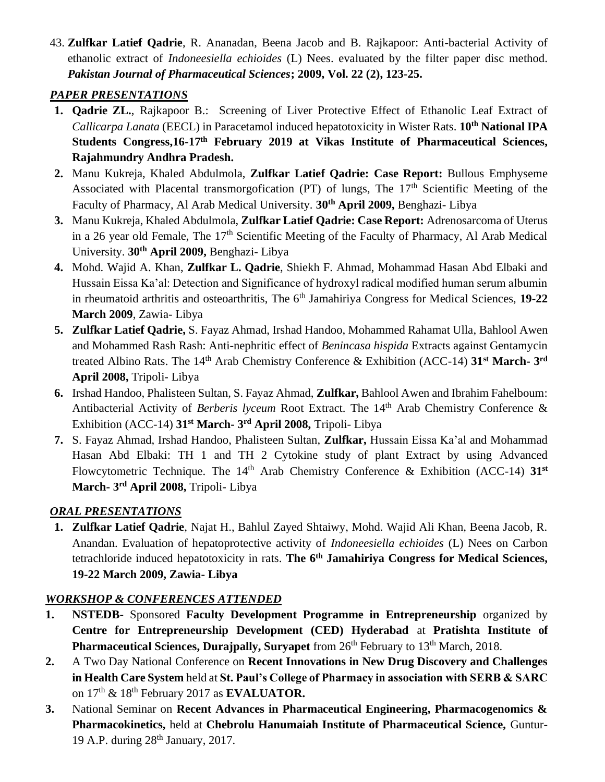43. **Zulfkar Latief Qadrie**, R. Ananadan, Beena Jacob and B. Rajkapoor: Anti-bacterial Activity of ethanolic extract of *Indoneesiella echioides* (L) Nees. evaluated by the filter paper disc method. *Pakistan Journal of Pharmaceutical Sciences***; 2009, Vol. 22 (2), 123-25.**

### *PAPER PRESENTATIONS*

- **1. Qadrie ZL.**, Rajkapoor B.: Screening of Liver Protective Effect of Ethanolic Leaf Extract of *Callicarpa Lanata* (EECL) in Paracetamol induced hepatotoxicity in Wister Rats. **10th National IPA Students Congress,16-17th February 2019 at Vikas Institute of Pharmaceutical Sciences, Rajahmundry Andhra Pradesh.**
- **2.** Manu Kukreja, Khaled Abdulmola, **Zulfkar Latief Qadrie: Case Report:** Bullous Emphyseme Associated with Placental transmorgofication (PT) of lungs, The 17<sup>th</sup> Scientific Meeting of the Faculty of Pharmacy, Al Arab Medical University. **30th April 2009,** Benghazi- Libya
- **3.** Manu Kukreja, Khaled Abdulmola, **Zulfkar Latief Qadrie: Case Report:** Adrenosarcoma of Uterus in a 26 year old Female, The 17<sup>th</sup> Scientific Meeting of the Faculty of Pharmacy, Al Arab Medical University. **30th April 2009,** Benghazi- Libya
- **4.** Mohd. Wajid A. Khan, **Zulfkar L. Qadrie**, Shiekh F. Ahmad, Mohammad Hasan Abd Elbaki and Hussain Eissa Ka'al: Detection and Significance of hydroxyl radical modified human serum albumin in rheumatoid arthritis and osteoarthritis, The 6<sup>th</sup> Jamahiriya Congress for Medical Sciences, 19-22 **March 2009**, Zawia- Libya
- **5. Zulfkar Latief Qadrie,** S. Fayaz Ahmad, Irshad Handoo, Mohammed Rahamat Ulla, Bahlool Awen and Mohammed Rash Rash: Anti-nephritic effect of *Benincasa hispida* Extracts against Gentamycin treated Albino Rats. The 14<sup>th</sup> Arab Chemistry Conference & Exhibition (ACC-14) 31<sup>st</sup> March-3<sup>rd</sup> **April 2008,** Tripoli- Libya
- **6.** Irshad Handoo, Phalisteen Sultan, S. Fayaz Ahmad, **Zulfkar,** Bahlool Awen and Ibrahim Fahelboum: Antibacterial Activity of *Berberis lyceum* Root Extract. The 14<sup>th</sup> Arab Chemistry Conference & Exhibition (ACC-14) **31st March- 3 rd April 2008,** Tripoli- Libya
- **7.** S. Fayaz Ahmad, Irshad Handoo, Phalisteen Sultan, **Zulfkar,** Hussain Eissa Ka'al and Mohammad Hasan Abd Elbaki: TH 1 and TH 2 Cytokine study of plant Extract by using Advanced Flowcytometric Technique. The 14<sup>th</sup> Arab Chemistry Conference & Exhibition (ACC-14) 31<sup>st</sup> **March- 3 rd April 2008,** Tripoli- Libya

# *ORAL PRESENTATIONS*

**1. Zulfkar Latief Qadrie**, Najat H., Bahlul Zayed Shtaiwy, Mohd. Wajid Ali Khan, Beena Jacob, R. Anandan. Evaluation of hepatoprotective activity of *Indoneesiella echioides* (L) Nees on Carbon tetrachloride induced hepatotoxicity in rats. **The 6th Jamahiriya Congress for Medical Sciences, 19-22 March 2009, Zawia- Libya**

### *WORKSHOP & CONFERENCES ATTENDED*

- **1. NSTEDB-** Sponsored **Faculty Development Programme in Entrepreneurship** organized by **Centre for Entrepreneurship Development (CED) Hyderabad** at **Pratishta Institute of Pharmaceutical Sciences, Durajpally, Suryapet** from 26<sup>th</sup> February to 13<sup>th</sup> March, 2018.
- **2.** A Two Day National Conference on **Recent Innovations in New Drug Discovery and Challenges in Health Care System** held at **St. Paul's College of Pharmacy in association with SERB & SARC**  on 17th & 18th February 2017 as **EVALUATOR.**
- **3.** National Seminar on **Recent Advances in Pharmaceutical Engineering, Pharmacogenomics & Pharmacokinetics,** held at **Chebrolu Hanumaiah Institute of Pharmaceutical Science,** Guntur-19 A.P. during 28th January, 2017.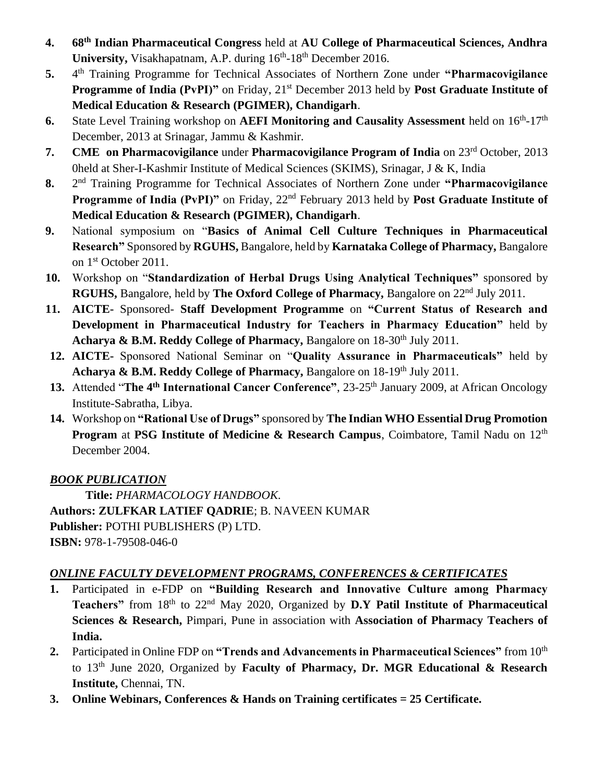- **4. 68th Indian Pharmaceutical Congress** held at **AU College of Pharmaceutical Sciences, Andhra**  University, Visakhapatnam, A.P. during 16<sup>th</sup>-18<sup>th</sup> December 2016.
- **5.** 4 th Training Programme for Technical Associates of Northern Zone under **"Pharmacovigilance Programme of India (PvPI)"** on Friday, 21<sup>st</sup> December 2013 held by **Post Graduate Institute of Medical Education & Research (PGIMER), Chandigarh**.
- 6. State Level Training workshop on **AEFI Monitoring and Causality Assessment** held on  $16^{th}$ -17<sup>th</sup> December, 2013 at Srinagar, Jammu & Kashmir.
- **7. CME on Pharmacovigilance** under **Pharmacovigilance Program of India** on 23rd October, 2013 0held at Sher-I-Kashmir Institute of Medical Sciences (SKIMS), Srinagar, J & K, India
- **8.** 2 2<sup>nd</sup> Training Programme for Technical Associates of Northern Zone under **"Pharmacovigilance**" **Programme of India (PvPI)**" on Friday, 22<sup>nd</sup> February 2013 held by **Post Graduate Institute of Medical Education & Research (PGIMER), Chandigarh**.
- **9.** National symposium on "**Basics of Animal Cell Culture Techniques in Pharmaceutical Research"** Sponsored by **RGUHS,** Bangalore, held by **Karnataka College of Pharmacy,** Bangalore on 1st October 2011.
- **10.** Workshop on "**Standardization of Herbal Drugs Using Analytical Techniques"** sponsored by **RGUHS,** Bangalore, held by **The Oxford College of Pharmacy,** Bangalore on 22nd July 2011.
- **11. AICTE-** Sponsored- **Staff Development Programme** on **"Current Status of Research and Development in Pharmaceutical Industry for Teachers in Pharmacy Education"** held by **Acharya & B.M. Reddy College of Pharmacy, Bangalore on 18-30<sup>th</sup> July 2011.**
- **12. AICTE-** Sponsored National Seminar on "**Quality Assurance in Pharmaceuticals"** held by **Acharya & B.M. Reddy College of Pharmacy, Bangalore on 18-19<sup>th</sup> July 2011.**
- **13.** Attended "**The 4th International Cancer Conference"**, 23-25th January 2009, at African Oncology Institute-Sabratha, Libya.
- **14.** Workshop on **"Rational Use of Drugs"** sponsored by **The Indian WHO Essential Drug Promotion Program** at **PSG Institute of Medicine & Research Campus**, Coimbatore, Tamil Nadu on 12<sup>th</sup> December 2004.

# *BOOK PUBLICATION*

**Title:** *PHARMACOLOGY HANDBOOK.* **Authors: ZULFKAR LATIEF QADRIE**; B. NAVEEN KUMAR **Publisher:** POTHI PUBLISHERS (P) LTD. **ISBN:** 978-1-79508-046-0

# *ONLINE FACULTY DEVELOPMENT PROGRAMS, CONFERENCES & CERTIFICATES*

- **1.** Participated in e-FDP on **"Building Research and Innovative Culture among Pharmacy Teachers"** from 18th to 22nd May 2020, Organized by **D.Y Patil Institute of Pharmaceutical Sciences & Research,** Pimpari, Pune in association with **Association of Pharmacy Teachers of India.**
- **2.** Participated in Online FDP on **"Trends and Advancements in Pharmaceutical Sciences"** from 10th to 13th June 2020, Organized by **Faculty of Pharmacy, Dr. MGR Educational & Research Institute,** Chennai, TN.
- **3. Online Webinars, Conferences & Hands on Training certificates = 25 Certificate.**